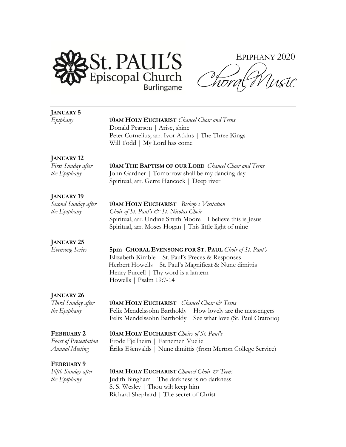

EPIPHANY 2020  $\overline{\mathcal{O}}_{\mathcal{G}}$ Usic horg

| <b>JANUARY 5</b>             |                                                                 |
|------------------------------|-----------------------------------------------------------------|
| Epiphany                     | <b>10AM HOLY EUCHARIST</b> Chancel Choir and Teens              |
|                              | Donald Pearson   Arise, shine                                   |
|                              | Peter Cornelius; arr. Ivor Atkins   The Three Kings             |
|                              | Will Todd   My Lord has come                                    |
| <b>JANUARY 12</b>            |                                                                 |
| First Sunday after           | <b>10AM THE BAPTISM OF OUR LORD</b> Chancel Choir and Teens     |
| the Epiphany                 | John Gardner   Tomorrow shall be my dancing day                 |
|                              | Spiritual, arr. Gerre Hancock   Deep river                      |
| <b>JANUARY 19</b>            |                                                                 |
| Second Sunday after          | <b>10AM HOLY EUCHARIST</b> Bishop's Visitation                  |
| the Epiphany                 | Choir of St. Paul's & St. Nicolas Choir                         |
|                              | Spiritual, arr. Undine Smith Moore   I believe this is Jesus    |
|                              | Spiritual, arr. Moses Hogan   This little light of mine         |
| <b>JANUARY 25</b>            |                                                                 |
| <b>Evensong Series</b>       | 5pm CHORAL EVENSONG FOR ST. PAUL Choir of St. Paul's            |
|                              | Elizabeth Kimble   St. Paul's Preces & Responses                |
|                              | Herbert Howells   St. Paul's Magnificat & Nunc dimittis         |
|                              | Henry Purcell   Thy word is a lantern                           |
|                              | Howells   Psalm 19:7-14                                         |
| <b>JANUARY 26</b>            |                                                                 |
| Third Sunday after           | <b>10AM HOLY EUCHARIST</b> Chancel Choir & Teens                |
| the Epiphany                 | Felix Mendelssohn Bartholdy   How lovely are the messengers     |
|                              | Felix Mendelssohn Bartholdy   See what love (St. Paul Oratorio) |
| <b>FEBRUARY 2</b>            | <b>10AM HOLY EUCHARIST</b> Choirs of St. Paul's                 |
| <b>Feast of Presentation</b> | Frode Fjellheim   Eatnemen Vuelie                               |
| <b>Annual Meeting</b>        | Eriks Ešenvalds   Nunc dimittis (from Merton College Service)   |
| <b>FEBRUARY 9</b>            |                                                                 |
| Fifth Sunday after           | <b>10AM HOLY EUCHARIST</b> Chancel Choir & Teens                |
| the Epiphany                 | Judith Bingham   The darkness is no darkness                    |
|                              | S. S. Wesley   Thou wilt keep him                               |
|                              | Richard Shephard   The secret of Christ                         |